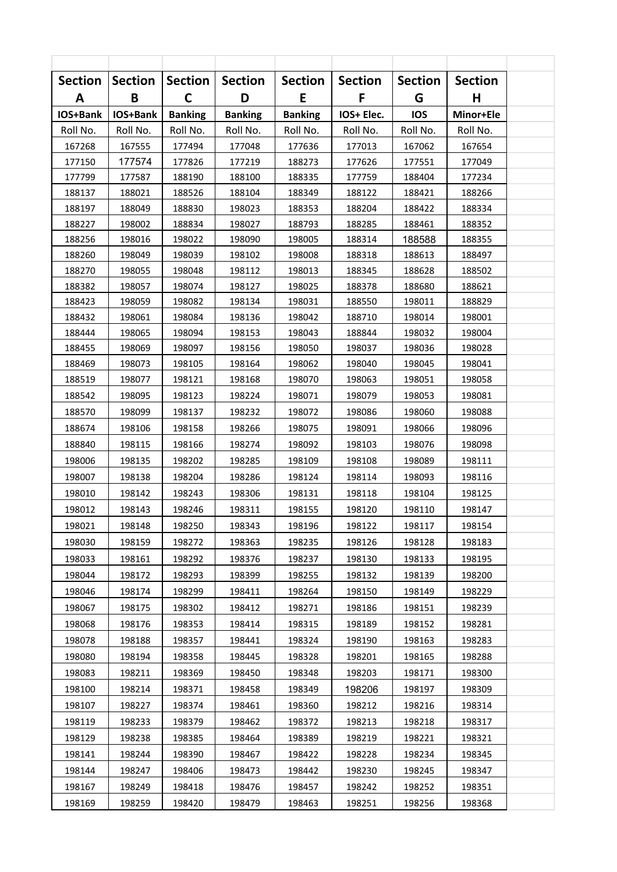| <b>Section</b> | <b>Section</b> | <b>Section</b> | <b>Section</b> | <b>Section</b> | <b>Section</b> | <b>Section</b> | <b>Section</b> |  |
|----------------|----------------|----------------|----------------|----------------|----------------|----------------|----------------|--|
| Α              | B              | $\mathsf{C}$   | D              | E              | F              | G              | н              |  |
| IOS+Bank       | IOS+Bank       | <b>Banking</b> | <b>Banking</b> | <b>Banking</b> | IOS+ Elec.     | <b>IOS</b>     | Minor+Ele      |  |
| Roll No.       | Roll No.       | Roll No.       | Roll No.       | Roll No.       | Roll No.       | Roll No.       | Roll No.       |  |
| 167268         | 167555         | 177494         | 177048         | 177636         | 177013         | 167062         | 167654         |  |
| 177150         | 177574         | 177826         | 177219         | 188273         | 177626         | 177551         | 177049         |  |
| 177799         | 177587         | 188190         | 188100         | 188335         | 177759         | 188404         | 177234         |  |
| 188137         | 188021         | 188526         | 188104         | 188349         | 188122         | 188421         | 188266         |  |
| 188197         | 188049         | 188830         | 198023         | 188353         | 188204         | 188422         | 188334         |  |
| 188227         | 198002         | 188834         | 198027         | 188793         | 188285         | 188461         | 188352         |  |
| 188256         | 198016         | 198022         | 198090         | 198005         | 188314         | 188588         | 188355         |  |
| 188260         | 198049         | 198039         | 198102         | 198008         | 188318         | 188613         | 188497         |  |
| 188270         | 198055         | 198048         | 198112         | 198013         | 188345         | 188628         | 188502         |  |
| 188382         | 198057         | 198074         | 198127         | 198025         | 188378         | 188680         | 188621         |  |
| 188423         | 198059         | 198082         | 198134         | 198031         | 188550         | 198011         | 188829         |  |
| 188432         | 198061         | 198084         | 198136         | 198042         | 188710         | 198014         | 198001         |  |
| 188444         | 198065         | 198094         | 198153         | 198043         | 188844         | 198032         | 198004         |  |
| 188455         | 198069         | 198097         | 198156         | 198050         | 198037         | 198036         | 198028         |  |
| 188469         | 198073         | 198105         | 198164         | 198062         | 198040         | 198045         | 198041         |  |
| 188519         | 198077         | 198121         | 198168         | 198070         | 198063         | 198051         | 198058         |  |
| 188542         | 198095         | 198123         | 198224         | 198071         | 198079         | 198053         | 198081         |  |
| 188570         | 198099         | 198137         | 198232         | 198072         | 198086         | 198060         | 198088         |  |
| 188674         | 198106         | 198158         | 198266         | 198075         | 198091         | 198066         | 198096         |  |
| 188840         | 198115         | 198166         | 198274         | 198092         | 198103         | 198076         | 198098         |  |
| 198006         | 198135         | 198202         | 198285         | 198109         | 198108         | 198089         | 198111         |  |
| 198007         | 198138         | 198204         | 198286         | 198124         | 198114         | 198093         | 198116         |  |
| 198010         | 198142         | 198243         | 198306         | 198131         | 198118         | 198104         | 198125         |  |
| 198012         | 198143         | 198246         | 198311         | 198155         | 198120         | 198110         | 198147         |  |
| 198021         | 198148         | 198250         | 198343         | 198196         | 198122         | 198117         | 198154         |  |
| 198030         | 198159         | 198272         | 198363         | 198235         | 198126         | 198128         | 198183         |  |
| 198033         | 198161         | 198292         | 198376         | 198237         | 198130         | 198133         | 198195         |  |
| 198044         | 198172         | 198293         | 198399         | 198255         | 198132         | 198139         | 198200         |  |
| 198046         | 198174         | 198299         | 198411         | 198264         | 198150         | 198149         | 198229         |  |
| 198067         | 198175         | 198302         | 198412         | 198271         | 198186         | 198151         | 198239         |  |
| 198068         | 198176         | 198353         | 198414         | 198315         | 198189         | 198152         | 198281         |  |
| 198078         | 198188         |                | 198441         |                | 198190         | 198163         | 198283         |  |
|                |                | 198357         |                | 198324         |                |                |                |  |
| 198080         | 198194         | 198358         | 198445         | 198328         | 198201         | 198165         | 198288         |  |
| 198083         | 198211         | 198369         | 198450         | 198348         | 198203         | 198171         | 198300         |  |
| 198100         | 198214         | 198371         | 198458         | 198349         | 198206         | 198197         | 198309         |  |
| 198107         | 198227         | 198374         | 198461         | 198360         | 198212         | 198216         | 198314         |  |
| 198119         | 198233         | 198379         | 198462         | 198372         | 198213         | 198218         | 198317         |  |
| 198129         | 198238         | 198385         | 198464         | 198389         | 198219         | 198221         | 198321         |  |
| 198141         | 198244         | 198390         | 198467         | 198422         | 198228         | 198234         | 198345         |  |
| 198144         | 198247         | 198406         | 198473         | 198442         | 198230         | 198245         | 198347         |  |
| 198167         | 198249         | 198418         | 198476         | 198457         | 198242         | 198252         | 198351         |  |
| 198169         | 198259         | 198420         | 198479         | 198463         | 198251         | 198256         | 198368         |  |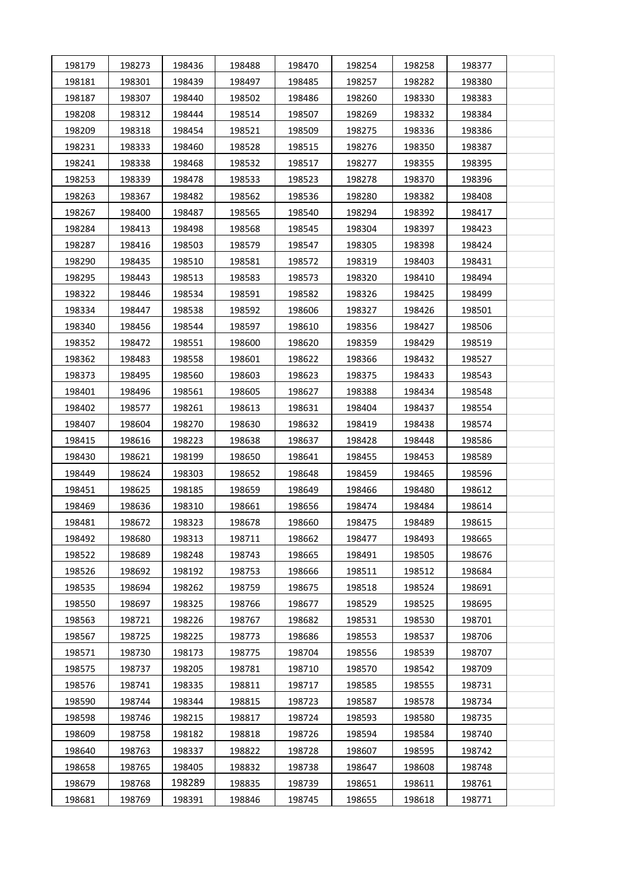| 198179 | 198273 | 198436 | 198488 | 198470 | 198254 | 198258 | 198377 |  |
|--------|--------|--------|--------|--------|--------|--------|--------|--|
| 198181 | 198301 | 198439 | 198497 | 198485 | 198257 | 198282 | 198380 |  |
| 198187 | 198307 | 198440 | 198502 | 198486 | 198260 | 198330 | 198383 |  |
| 198208 | 198312 | 198444 | 198514 | 198507 | 198269 | 198332 | 198384 |  |
| 198209 | 198318 | 198454 | 198521 | 198509 | 198275 | 198336 | 198386 |  |
| 198231 | 198333 | 198460 | 198528 | 198515 | 198276 | 198350 | 198387 |  |
| 198241 | 198338 | 198468 | 198532 | 198517 | 198277 | 198355 | 198395 |  |
| 198253 | 198339 | 198478 | 198533 | 198523 | 198278 | 198370 | 198396 |  |
| 198263 | 198367 | 198482 | 198562 | 198536 | 198280 | 198382 | 198408 |  |
| 198267 | 198400 | 198487 | 198565 | 198540 | 198294 | 198392 | 198417 |  |
| 198284 | 198413 | 198498 | 198568 | 198545 | 198304 | 198397 | 198423 |  |
| 198287 | 198416 | 198503 | 198579 | 198547 | 198305 | 198398 | 198424 |  |
| 198290 | 198435 | 198510 | 198581 | 198572 | 198319 | 198403 | 198431 |  |
| 198295 | 198443 | 198513 | 198583 | 198573 | 198320 | 198410 | 198494 |  |
| 198322 | 198446 | 198534 | 198591 | 198582 | 198326 | 198425 | 198499 |  |
| 198334 | 198447 | 198538 | 198592 | 198606 | 198327 | 198426 | 198501 |  |
| 198340 | 198456 | 198544 | 198597 | 198610 | 198356 | 198427 | 198506 |  |
| 198352 | 198472 | 198551 | 198600 | 198620 | 198359 | 198429 | 198519 |  |
| 198362 | 198483 | 198558 | 198601 | 198622 | 198366 | 198432 | 198527 |  |
| 198373 | 198495 | 198560 | 198603 | 198623 | 198375 | 198433 | 198543 |  |
| 198401 | 198496 | 198561 | 198605 | 198627 | 198388 | 198434 | 198548 |  |
| 198402 | 198577 | 198261 | 198613 | 198631 | 198404 | 198437 | 198554 |  |
| 198407 | 198604 | 198270 | 198630 | 198632 | 198419 | 198438 | 198574 |  |
| 198415 | 198616 | 198223 | 198638 | 198637 | 198428 | 198448 | 198586 |  |
| 198430 | 198621 | 198199 | 198650 | 198641 | 198455 | 198453 | 198589 |  |
| 198449 | 198624 | 198303 | 198652 | 198648 | 198459 | 198465 | 198596 |  |
| 198451 | 198625 | 198185 | 198659 | 198649 | 198466 | 198480 | 198612 |  |
| 198469 | 198636 | 198310 | 198661 | 198656 | 198474 | 198484 | 198614 |  |
| 198481 | 198672 | 198323 | 198678 | 198660 | 198475 | 198489 | 198615 |  |
| 198492 | 198680 | 198313 | 198711 | 198662 | 198477 | 198493 | 198665 |  |
| 198522 | 198689 | 198248 | 198743 | 198665 | 198491 | 198505 | 198676 |  |
| 198526 | 198692 | 198192 | 198753 | 198666 | 198511 | 198512 | 198684 |  |
| 198535 | 198694 | 198262 | 198759 | 198675 | 198518 | 198524 | 198691 |  |
| 198550 | 198697 | 198325 | 198766 | 198677 | 198529 | 198525 | 198695 |  |
| 198563 | 198721 | 198226 | 198767 | 198682 | 198531 | 198530 | 198701 |  |
| 198567 | 198725 | 198225 | 198773 | 198686 | 198553 | 198537 | 198706 |  |
| 198571 | 198730 | 198173 | 198775 | 198704 | 198556 | 198539 | 198707 |  |
| 198575 | 198737 | 198205 | 198781 | 198710 | 198570 | 198542 | 198709 |  |
| 198576 | 198741 | 198335 | 198811 | 198717 | 198585 | 198555 | 198731 |  |
| 198590 | 198744 | 198344 | 198815 | 198723 | 198587 | 198578 | 198734 |  |
| 198598 | 198746 | 198215 | 198817 | 198724 | 198593 | 198580 | 198735 |  |
| 198609 | 198758 | 198182 | 198818 | 198726 | 198594 | 198584 | 198740 |  |
| 198640 | 198763 | 198337 | 198822 | 198728 | 198607 | 198595 | 198742 |  |
| 198658 | 198765 | 198405 | 198832 | 198738 | 198647 | 198608 | 198748 |  |
| 198679 | 198768 | 198289 | 198835 | 198739 | 198651 | 198611 | 198761 |  |
| 198681 | 198769 | 198391 | 198846 | 198745 | 198655 | 198618 | 198771 |  |